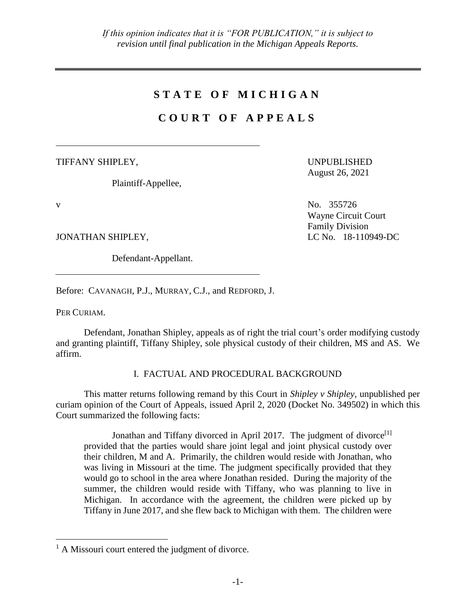# **S T A T E O F M I C H I G A N**

# **C O U R T O F A P P E A L S**

TIFFANY SHIPLEY,

Plaintiff-Appellee,

UNPUBLISHED August 26, 2021

 $V$  No. 355726 Wayne Circuit Court Family Division

JONATHAN SHIPLEY, LC No. 18-110949-DC

Defendant-Appellant.

Before: CAVANAGH, P.J., MURRAY, C.J., and REDFORD, J.

PER CURIAM.

 $\overline{a}$ 

Defendant, Jonathan Shipley, appeals as of right the trial court's order modifying custody and granting plaintiff, Tiffany Shipley, sole physical custody of their children, MS and AS. We affirm.

I. FACTUAL AND PROCEDURAL BACKGROUND

This matter returns following remand by this Court in *Shipley v Shipley*, unpublished per curiam opinion of the Court of Appeals, issued April 2, 2020 (Docket No. 349502) in which this Court summarized the following facts:

Jonathan and Tiffany divorced in April 2017. The judgment of divorce<sup>[1]</sup> provided that the parties would share joint legal and joint physical custody over their children, M and A. Primarily, the children would reside with Jonathan, who was living in Missouri at the time. The judgment specifically provided that they would go to school in the area where Jonathan resided. During the majority of the summer, the children would reside with Tiffany, who was planning to live in Michigan. In accordance with the agreement, the children were picked up by Tiffany in June 2017, and she flew back to Michigan with them. The children were

 $<sup>1</sup>$  A Missouri court entered the judgment of divorce.</sup>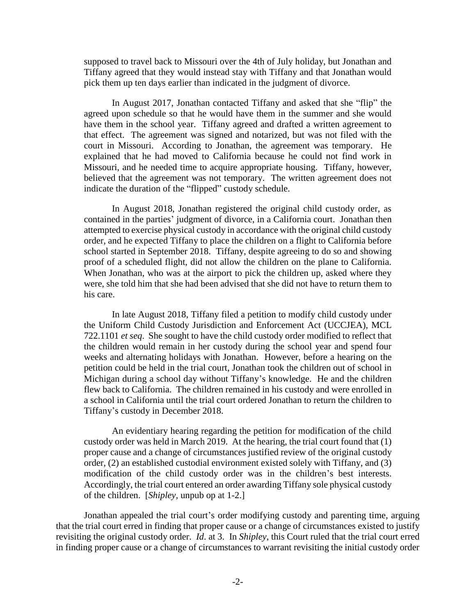supposed to travel back to Missouri over the 4th of July holiday, but Jonathan and Tiffany agreed that they would instead stay with Tiffany and that Jonathan would pick them up ten days earlier than indicated in the judgment of divorce.

In August 2017, Jonathan contacted Tiffany and asked that she "flip" the agreed upon schedule so that he would have them in the summer and she would have them in the school year. Tiffany agreed and drafted a written agreement to that effect. The agreement was signed and notarized, but was not filed with the court in Missouri. According to Jonathan, the agreement was temporary. He explained that he had moved to California because he could not find work in Missouri, and he needed time to acquire appropriate housing. Tiffany, however, believed that the agreement was not temporary. The written agreement does not indicate the duration of the "flipped" custody schedule.

In August 2018, Jonathan registered the original child custody order, as contained in the parties' judgment of divorce, in a California court. Jonathan then attempted to exercise physical custody in accordance with the original child custody order, and he expected Tiffany to place the children on a flight to California before school started in September 2018. Tiffany, despite agreeing to do so and showing proof of a scheduled flight, did not allow the children on the plane to California. When Jonathan, who was at the airport to pick the children up, asked where they were, she told him that she had been advised that she did not have to return them to his care.

In late August 2018, Tiffany filed a petition to modify child custody under the Uniform Child Custody Jurisdiction and Enforcement Act (UCCJEA), MCL 722.1101 *et seq*. She sought to have the child custody order modified to reflect that the children would remain in her custody during the school year and spend four weeks and alternating holidays with Jonathan. However, before a hearing on the petition could be held in the trial court, Jonathan took the children out of school in Michigan during a school day without Tiffany's knowledge. He and the children flew back to California. The children remained in his custody and were enrolled in a school in California until the trial court ordered Jonathan to return the children to Tiffany's custody in December 2018.

An evidentiary hearing regarding the petition for modification of the child custody order was held in March 2019. At the hearing, the trial court found that (1) proper cause and a change of circumstances justified review of the original custody order, (2) an established custodial environment existed solely with Tiffany, and (3) modification of the child custody order was in the children's best interests. Accordingly, the trial court entered an order awarding Tiffany sole physical custody of the children. [*Shipley*, unpub op at 1-2.]

Jonathan appealed the trial court's order modifying custody and parenting time, arguing that the trial court erred in finding that proper cause or a change of circumstances existed to justify revisiting the original custody order. *Id*. at 3. In *Shipley*, this Court ruled that the trial court erred in finding proper cause or a change of circumstances to warrant revisiting the initial custody order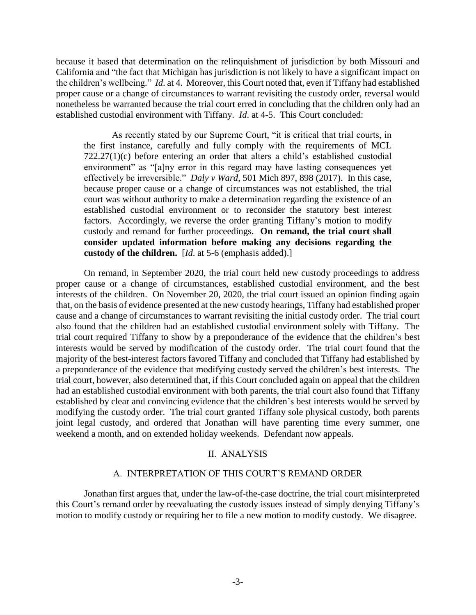because it based that determination on the relinquishment of jurisdiction by both Missouri and California and "the fact that Michigan has jurisdiction is not likely to have a significant impact on the children's wellbeing." *Id*. at 4. Moreover, this Court noted that, even if Tiffany had established proper cause or a change of circumstances to warrant revisiting the custody order, reversal would nonetheless be warranted because the trial court erred in concluding that the children only had an established custodial environment with Tiffany. *Id*. at 4-5. This Court concluded:

As recently stated by our Supreme Court, "it is critical that trial courts, in the first instance, carefully and fully comply with the requirements of MCL 722.27(1)(c) before entering an order that alters a child's established custodial environment" as "[a]ny error in this regard may have lasting consequences yet effectively be irreversible." *Daly v Ward*, 501 Mich 897, 898 (2017). In this case, because proper cause or a change of circumstances was not established, the trial court was without authority to make a determination regarding the existence of an established custodial environment or to reconsider the statutory best interest factors. Accordingly, we reverse the order granting Tiffany's motion to modify custody and remand for further proceedings. **On remand, the trial court shall consider updated information before making any decisions regarding the custody of the children.** [*Id*. at 5-6 (emphasis added).]

On remand, in September 2020, the trial court held new custody proceedings to address proper cause or a change of circumstances, established custodial environment, and the best interests of the children. On November 20, 2020, the trial court issued an opinion finding again that, on the basis of evidence presented at the new custody hearings, Tiffany had established proper cause and a change of circumstances to warrant revisiting the initial custody order. The trial court also found that the children had an established custodial environment solely with Tiffany. The trial court required Tiffany to show by a preponderance of the evidence that the children's best interests would be served by modification of the custody order. The trial court found that the majority of the best-interest factors favored Tiffany and concluded that Tiffany had established by a preponderance of the evidence that modifying custody served the children's best interests. The trial court, however, also determined that, if this Court concluded again on appeal that the children had an established custodial environment with both parents, the trial court also found that Tiffany established by clear and convincing evidence that the children's best interests would be served by modifying the custody order. The trial court granted Tiffany sole physical custody, both parents joint legal custody, and ordered that Jonathan will have parenting time every summer, one weekend a month, and on extended holiday weekends. Defendant now appeals.

## II. ANALYSIS

## A. INTERPRETATION OF THIS COURT'S REMAND ORDER

Jonathan first argues that, under the law-of-the-case doctrine, the trial court misinterpreted this Court's remand order by reevaluating the custody issues instead of simply denying Tiffany's motion to modify custody or requiring her to file a new motion to modify custody. We disagree.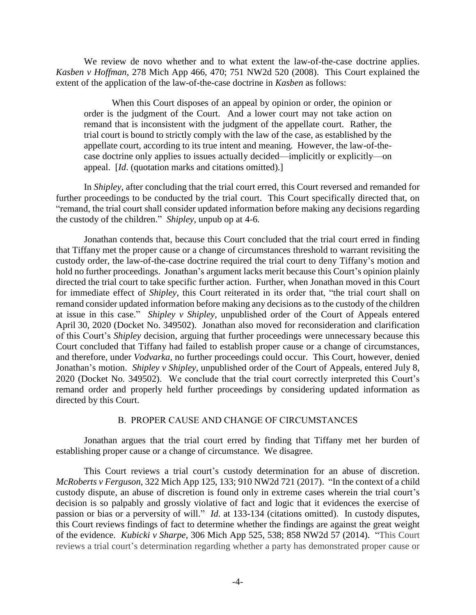We review de novo whether and to what extent the law-of-the-case doctrine applies. *Kasben v Hoffman*, 278 Mich App 466, 470; 751 NW2d 520 (2008). This Court explained the extent of the application of the law-of-the-case doctrine in *Kasben* as follows:

When this Court disposes of an appeal by opinion or order, the opinion or order is the judgment of the Court. And a lower court may not take action on remand that is inconsistent with the judgment of the appellate court. Rather, the trial court is bound to strictly comply with the law of the case, as established by the appellate court, according to its true intent and meaning. However, the law-of-thecase doctrine only applies to issues actually decided—implicitly or explicitly—on appeal. [*Id*. (quotation marks and citations omitted).]

In *Shipley*, after concluding that the trial court erred, this Court reversed and remanded for further proceedings to be conducted by the trial court. This Court specifically directed that, on "remand, the trial court shall consider updated information before making any decisions regarding the custody of the children." *Shipley*, unpub op at 4-6.

Jonathan contends that, because this Court concluded that the trial court erred in finding that Tiffany met the proper cause or a change of circumstances threshold to warrant revisiting the custody order, the law-of-the-case doctrine required the trial court to deny Tiffany's motion and hold no further proceedings. Jonathan's argument lacks merit because this Court's opinion plainly directed the trial court to take specific further action. Further, when Jonathan moved in this Court for immediate effect of *Shipley*, this Court reiterated in its order that, "the trial court shall on remand consider updated information before making any decisions as to the custody of the children at issue in this case." *Shipley v Shipley*, unpublished order of the Court of Appeals entered April 30, 2020 (Docket No. 349502). Jonathan also moved for reconsideration and clarification of this Court's *Shipley* decision, arguing that further proceedings were unnecessary because this Court concluded that Tiffany had failed to establish proper cause or a change of circumstances, and therefore, under *Vodvarka*, no further proceedings could occur. This Court, however, denied Jonathan's motion. *Shipley v Shipley*, unpublished order of the Court of Appeals, entered July 8, 2020 (Docket No. 349502). We conclude that the trial court correctly interpreted this Court's remand order and properly held further proceedings by considering updated information as directed by this Court.

## B. PROPER CAUSE AND CHANGE OF CIRCUMSTANCES

Jonathan argues that the trial court erred by finding that Tiffany met her burden of establishing proper cause or a change of circumstance. We disagree.

This Court reviews a trial court's custody determination for an abuse of discretion. *McRoberts v Ferguson*, 322 Mich App 125, 133; 910 NW2d 721 (2017). "In the context of a child custody dispute, an abuse of discretion is found only in extreme cases wherein the trial court's decision is so palpably and grossly violative of fact and logic that it evidences the exercise of passion or bias or a perversity of will." *Id*. at 133-134 (citations omitted). In custody disputes, this Court reviews findings of fact to determine whether the findings are against the great weight of the evidence. *Kubicki v Sharpe*, 306 Mich App 525, 538; 858 NW2d 57 (2014). "This Court reviews a trial court's determination regarding whether a party has demonstrated proper cause or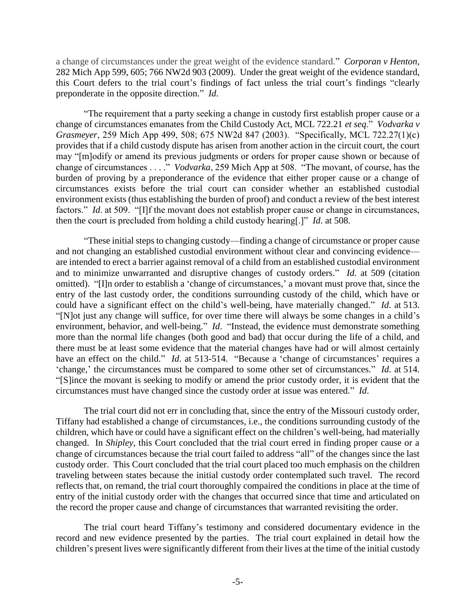a change of circumstances under the great weight of the evidence standard." *Corporan v Henton*, 282 Mich App 599, 605; 766 NW2d 903 (2009). Under the great weight of the evidence standard, this Court defers to the trial court's findings of fact unless the trial court's findings "clearly preponderate in the opposite direction." *Id*.

"The requirement that a party seeking a change in custody first establish proper cause or a change of circumstances emanates from the Child Custody Act, MCL 722.21 *et seq*." *Vodvarka v Grasmeyer*, 259 Mich App 499, 508; 675 NW2d 847 (2003). "Specifically, MCL 722.27(1)(c) provides that if a child custody dispute has arisen from another action in the circuit court, the court may "[m]odify or amend its previous judgments or orders for proper cause shown or because of change of circumstances . . . ." *Vodvarka*, 259 Mich App at 508. "The movant, of course, has the burden of proving by a preponderance of the evidence that either proper cause or a change of circumstances exists before the trial court can consider whether an established custodial environment exists (thus establishing the burden of proof) and conduct a review of the best interest factors." *Id.* at 509. "[I]f the movant does not establish proper cause or change in circumstances, then the court is precluded from holding a child custody hearing[.]" *Id*. at 508.

"These initial steps to changing custody—finding a change of circumstance or proper cause and not changing an established custodial environment without clear and convincing evidence are intended to erect a barrier against removal of a child from an established custodial environment and to minimize unwarranted and disruptive changes of custody orders." *Id.* at 509 (citation omitted). "[I]n order to establish a 'change of circumstances,' a movant must prove that, since the entry of the last custody order, the conditions surrounding custody of the child, which have or could have a significant effect on the child's well-being, have materially changed." *Id*. at 513. "[N]ot just any change will suffice, for over time there will always be some changes in a child's environment, behavior, and well-being." *Id*. "Instead, the evidence must demonstrate something more than the normal life changes (both good and bad) that occur during the life of a child, and there must be at least some evidence that the material changes have had or will almost certainly have an effect on the child." *Id.* at 513-514. "Because a 'change of circumstances' requires a 'change,' the circumstances must be compared to some other set of circumstances." *Id*. at 514. "[S]ince the movant is seeking to modify or amend the prior custody order, it is evident that the circumstances must have changed since the custody order at issue was entered." *Id*.

The trial court did not err in concluding that, since the entry of the Missouri custody order, Tiffany had established a change of circumstances, i.e., the conditions surrounding custody of the children, which have or could have a significant effect on the children's well-being, had materially changed. In *Shipley*, this Court concluded that the trial court erred in finding proper cause or a change of circumstances because the trial court failed to address "all" of the changes since the last custody order. This Court concluded that the trial court placed too much emphasis on the children traveling between states because the initial custody order contemplated such travel. The record reflects that, on remand, the trial court thoroughly compaired the conditions in place at the time of entry of the initial custody order with the changes that occurred since that time and articulated on the record the proper cause and change of circumstances that warranted revisiting the order.

The trial court heard Tiffany's testimony and considered documentary evidence in the record and new evidence presented by the parties. The trial court explained in detail how the children's present lives were significantly different from their lives at the time of the initial custody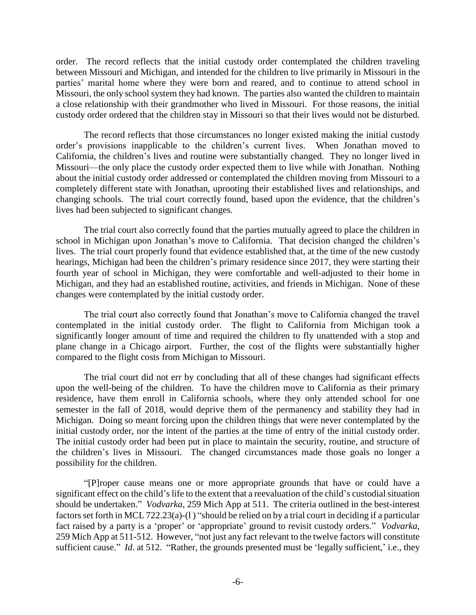order. The record reflects that the initial custody order contemplated the children traveling between Missouri and Michigan, and intended for the children to live primarily in Missouri in the parties' marital home where they were born and reared, and to continue to attend school in Missouri, the only school system they had known. The parties also wanted the children to maintain a close relationship with their grandmother who lived in Missouri. For those reasons, the initial custody order ordered that the children stay in Missouri so that their lives would not be disturbed.

The record reflects that those circumstances no longer existed making the initial custody order's provisions inapplicable to the children's current lives. When Jonathan moved to California, the children's lives and routine were substantially changed. They no longer lived in Missouri—the only place the custody order expected them to live while with Jonathan. Nothing about the initial custody order addressed or contemplated the children moving from Missouri to a completely different state with Jonathan, uprooting their established lives and relationships, and changing schools. The trial court correctly found, based upon the evidence, that the children's lives had been subjected to significant changes.

The trial court also correctly found that the parties mutually agreed to place the children in school in Michigan upon Jonathan's move to California. That decision changed the children's lives. The trial court properly found that evidence established that, at the time of the new custody hearings, Michigan had been the children's primary residence since 2017, they were starting their fourth year of school in Michigan, they were comfortable and well-adjusted to their home in Michigan, and they had an established routine, activities, and friends in Michigan. None of these changes were contemplated by the initial custody order.

The trial court also correctly found that Jonathan's move to California changed the travel contemplated in the initial custody order. The flight to California from Michigan took a significantly longer amount of time and required the children to fly unattended with a stop and plane change in a Chicago airport. Further, the cost of the flights were substantially higher compared to the flight costs from Michigan to Missouri.

The trial court did not err by concluding that all of these changes had significant effects upon the well-being of the children. To have the children move to California as their primary residence, have them enroll in California schools, where they only attended school for one semester in the fall of 2018, would deprive them of the permanency and stability they had in Michigan. Doing so meant forcing upon the children things that were never contemplated by the initial custody order, nor the intent of the parties at the time of entry of the initial custody order. The initial custody order had been put in place to maintain the security, routine, and structure of the children's lives in Missouri. The changed circumstances made those goals no longer a possibility for the children.

"[P]roper cause means one or more appropriate grounds that have or could have a significant effect on the child's life to the extent that a reevaluation of the child's custodial situation should be undertaken." *Vodvarka*, 259 Mich App at 511. The criteria outlined in the best-interest factors set forth in MCL 722.23(a)-(l ) "should be relied on by a trial court in deciding if a particular fact raised by a party is a 'proper' or 'appropriate' ground to revisit custody orders." *Vodvarka*, 259 Mich App at 511-512. However, "not just any fact relevant to the twelve factors will constitute sufficient cause." *Id.* at 512. "Rather, the grounds presented must be 'legally sufficient,' i.e., they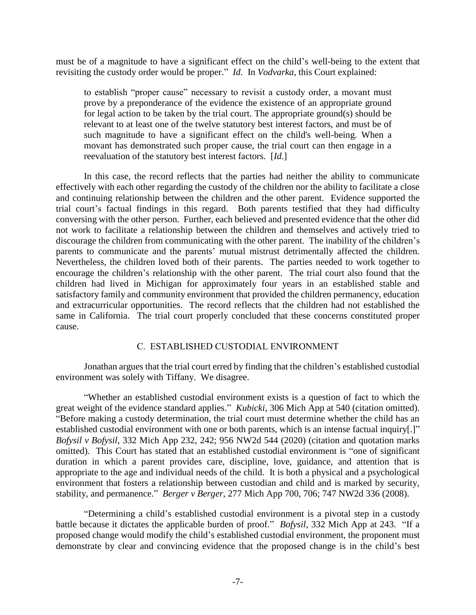must be of a magnitude to have a significant effect on the child's well-being to the extent that revisiting the custody order would be proper." *Id*. In *Vodvarka*, this Court explained:

to establish "proper cause" necessary to revisit a custody order, a movant must prove by a preponderance of the evidence the existence of an appropriate ground for legal action to be taken by the trial court. The appropriate ground(s) should be relevant to at least one of the twelve statutory best interest factors, and must be of such magnitude to have a significant effect on the child's well-being. When a movant has demonstrated such proper cause, the trial court can then engage in a reevaluation of the statutory best interest factors. [*Id*.]

In this case, the record reflects that the parties had neither the ability to communicate effectively with each other regarding the custody of the children nor the ability to facilitate a close and continuing relationship between the children and the other parent. Evidence supported the trial court's factual findings in this regard. Both parents testified that they had difficulty conversing with the other person. Further, each believed and presented evidence that the other did not work to facilitate a relationship between the children and themselves and actively tried to discourage the children from communicating with the other parent. The inability of the children's parents to communicate and the parents' mutual mistrust detrimentally affected the children. Nevertheless, the children loved both of their parents. The parties needed to work together to encourage the children's relationship with the other parent. The trial court also found that the children had lived in Michigan for approximately four years in an established stable and satisfactory family and community environment that provided the children permanency, education and extracurricular opportunities. The record reflects that the children had not established the same in California. The trial court properly concluded that these concerns constituted proper cause.

# C. ESTABLISHED CUSTODIAL ENVIRONMENT

Jonathan argues that the trial court erred by finding that the children's established custodial environment was solely with Tiffany. We disagree.

"Whether an established custodial environment exists is a question of fact to which the great weight of the evidence standard applies." *Kubicki*, 306 Mich App at 540 (citation omitted). "Before making a custody determination, the trial court must determine whether the child has an established custodial environment with one or both parents, which is an intense factual inquiry[.]" *Bofysil v Bofysil*, 332 Mich App 232, 242; 956 NW2d 544 (2020) (citation and quotation marks omitted). This Court has stated that an established custodial environment is "one of significant duration in which a parent provides care, discipline, love, guidance, and attention that is appropriate to the age and individual needs of the child. It is both a physical and a psychological environment that fosters a relationship between custodian and child and is marked by security, stability, and permanence." *Berger v Berger*, 277 Mich App 700, 706; 747 NW2d 336 (2008).

"Determining a child's established custodial environment is a pivotal step in a custody battle because it dictates the applicable burden of proof." *Bofysil*, 332 Mich App at 243. "If a proposed change would modify the child's established custodial environment, the proponent must demonstrate by clear and convincing evidence that the proposed change is in the child's best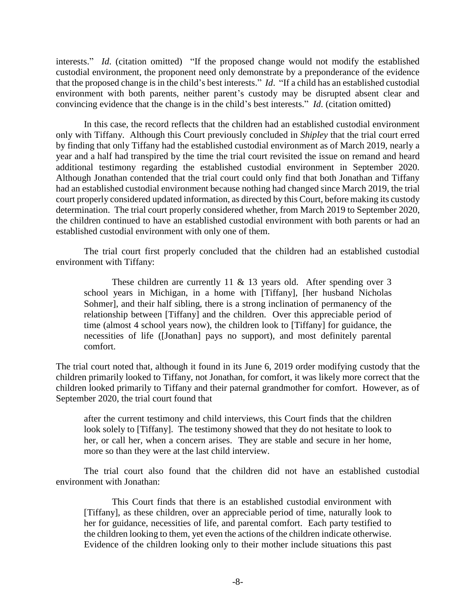interests." *Id*. (citation omitted) "If the proposed change would not modify the established custodial environment, the proponent need only demonstrate by a preponderance of the evidence that the proposed change is in the child's best interests." *Id*. "If a child has an established custodial environment with both parents, neither parent's custody may be disrupted absent clear and convincing evidence that the change is in the child's best interests." *Id*. (citation omitted)

In this case, the record reflects that the children had an established custodial environment only with Tiffany. Although this Court previously concluded in *Shipley* that the trial court erred by finding that only Tiffany had the established custodial environment as of March 2019, nearly a year and a half had transpired by the time the trial court revisited the issue on remand and heard additional testimony regarding the established custodial environment in September 2020. Although Jonathan contended that the trial court could only find that both Jonathan and Tiffany had an established custodial environment because nothing had changed since March 2019, the trial court properly considered updated information, as directed by this Court, before making its custody determination. The trial court properly considered whether, from March 2019 to September 2020, the children continued to have an established custodial environment with both parents or had an established custodial environment with only one of them.

The trial court first properly concluded that the children had an established custodial environment with Tiffany:

These children are currently 11  $\&$  13 years old. After spending over 3 school years in Michigan, in a home with [Tiffany], [her husband Nicholas Sohmer], and their half sibling, there is a strong inclination of permanency of the relationship between [Tiffany] and the children. Over this appreciable period of time (almost 4 school years now), the children look to [Tiffany] for guidance, the necessities of life ([Jonathan] pays no support), and most definitely parental comfort.

The trial court noted that, although it found in its June 6, 2019 order modifying custody that the children primarily looked to Tiffany, not Jonathan, for comfort, it was likely more correct that the children looked primarily to Tiffany and their paternal grandmother for comfort. However, as of September 2020, the trial court found that

after the current testimony and child interviews, this Court finds that the children look solely to [Tiffany]. The testimony showed that they do not hesitate to look to her, or call her, when a concern arises. They are stable and secure in her home, more so than they were at the last child interview.

The trial court also found that the children did not have an established custodial environment with Jonathan:

This Court finds that there is an established custodial environment with [Tiffany], as these children, over an appreciable period of time, naturally look to her for guidance, necessities of life, and parental comfort. Each party testified to the children looking to them, yet even the actions of the children indicate otherwise. Evidence of the children looking only to their mother include situations this past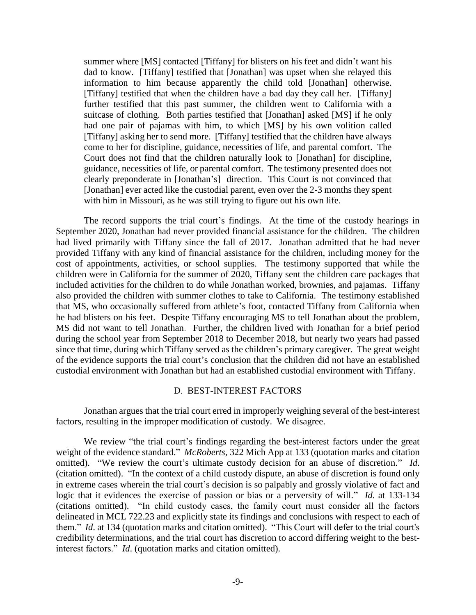summer where [MS] contacted [Tiffany] for blisters on his feet and didn't want his dad to know. [Tiffany] testified that [Jonathan] was upset when she relayed this information to him because apparently the child told [Jonathan] otherwise. [Tiffany] testified that when the children have a bad day they call her. [Tiffany] further testified that this past summer, the children went to California with a suitcase of clothing. Both parties testified that [Jonathan] asked [MS] if he only had one pair of pajamas with him, to which [MS] by his own volition called [Tiffany] asking her to send more. [Tiffany] testified that the children have always come to her for discipline, guidance, necessities of life, and parental comfort. The Court does not find that the children naturally look to [Jonathan] for discipline, guidance, necessities of life, or parental comfort. The testimony presented does not clearly preponderate in [Jonathan's] direction. This Court is not convinced that [Jonathan] ever acted like the custodial parent, even over the 2-3 months they spent with him in Missouri, as he was still trying to figure out his own life.

The record supports the trial court's findings. At the time of the custody hearings in September 2020, Jonathan had never provided financial assistance for the children. The children had lived primarily with Tiffany since the fall of 2017. Jonathan admitted that he had never provided Tiffany with any kind of financial assistance for the children, including money for the cost of appointments, activities, or school supplies. The testimony supported that while the children were in California for the summer of 2020, Tiffany sent the children care packages that included activities for the children to do while Jonathan worked, brownies, and pajamas. Tiffany also provided the children with summer clothes to take to California. The testimony established that MS, who occasionally suffered from athlete's foot, contacted Tiffany from California when he had blisters on his feet. Despite Tiffany encouraging MS to tell Jonathan about the problem, MS did not want to tell Jonathan. Further, the children lived with Jonathan for a brief period during the school year from September 2018 to December 2018, but nearly two years had passed since that time, during which Tiffany served as the children's primary caregiver. The great weight of the evidence supports the trial court's conclusion that the children did not have an established custodial environment with Jonathan but had an established custodial environment with Tiffany.

# D. BEST-INTEREST FACTORS

Jonathan argues that the trial court erred in improperly weighing several of the best-interest factors, resulting in the improper modification of custody. We disagree.

We review "the trial court's findings regarding the best-interest factors under the great weight of the evidence standard." *McRoberts*, 322 Mich App at 133 (quotation marks and citation omitted). "We review the court's ultimate custody decision for an abuse of discretion." *Id*. (citation omitted). "In the context of a child custody dispute, an abuse of discretion is found only in extreme cases wherein the trial court's decision is so palpably and grossly violative of fact and logic that it evidences the exercise of passion or bias or a perversity of will." *Id*. at 133-134 (citations omitted). "In child custody cases, the family court must consider all the factors delineated in MCL 722.23 and explicitly state its findings and conclusions with respect to each of them." *Id*. at 134 (quotation marks and citation omitted). "This Court will defer to the trial court's credibility determinations, and the trial court has discretion to accord differing weight to the bestinterest factors." *Id*. (quotation marks and citation omitted).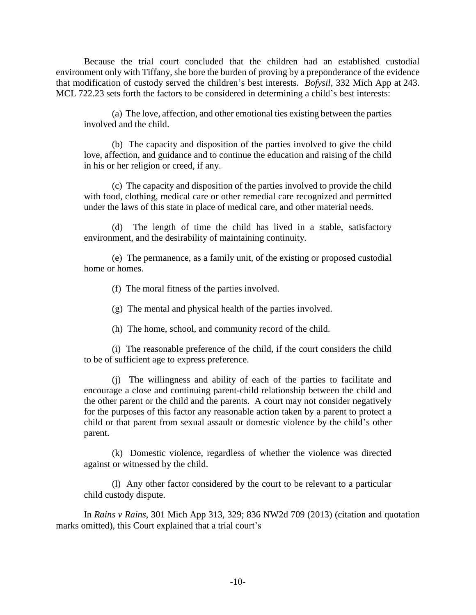Because the trial court concluded that the children had an established custodial environment only with Tiffany, she bore the burden of proving by a preponderance of the evidence that modification of custody served the children's best interests. *Bofysil*, 332 Mich App at 243. MCL 722.23 sets forth the factors to be considered in determining a child's best interests:

(a) The love, affection, and other emotional ties existing between the parties involved and the child.

(b) The capacity and disposition of the parties involved to give the child love, affection, and guidance and to continue the education and raising of the child in his or her religion or creed, if any.

(c) The capacity and disposition of the parties involved to provide the child with food, clothing, medical care or other remedial care recognized and permitted under the laws of this state in place of medical care, and other material needs.

The length of time the child has lived in a stable, satisfactory environment, and the desirability of maintaining continuity.

(e) The permanence, as a family unit, of the existing or proposed custodial home or homes.

(f) The moral fitness of the parties involved.

(g) The mental and physical health of the parties involved.

(h) The home, school, and community record of the child.

(i) The reasonable preference of the child, if the court considers the child to be of sufficient age to express preference.

(j) The willingness and ability of each of the parties to facilitate and encourage a close and continuing parent-child relationship between the child and the other parent or the child and the parents. A court may not consider negatively for the purposes of this factor any reasonable action taken by a parent to protect a child or that parent from sexual assault or domestic violence by the child's other parent.

(k) Domestic violence, regardless of whether the violence was directed against or witnessed by the child.

(l) Any other factor considered by the court to be relevant to a particular child custody dispute.

In *Rains v Rains*, 301 Mich App 313, 329; 836 NW2d 709 (2013) (citation and quotation marks omitted), this Court explained that a trial court's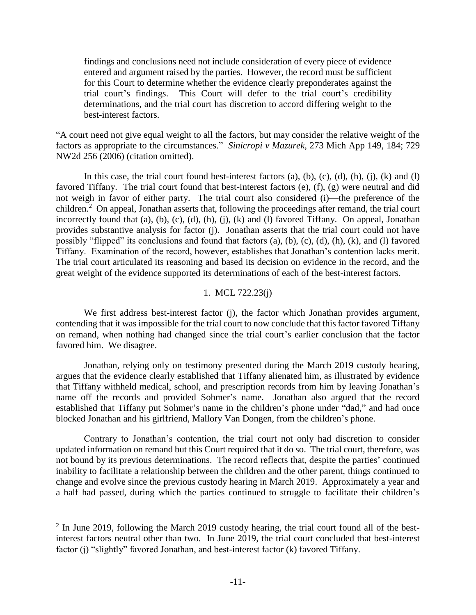findings and conclusions need not include consideration of every piece of evidence entered and argument raised by the parties. However, the record must be sufficient for this Court to determine whether the evidence clearly preponderates against the trial court's findings. This Court will defer to the trial court's credibility determinations, and the trial court has discretion to accord differing weight to the best-interest factors.

"A court need not give equal weight to all the factors, but may consider the relative weight of the factors as appropriate to the circumstances." *Sinicropi v Mazurek*, 273 Mich App 149, 184; 729 NW2d 256 (2006) (citation omitted).

In this case, the trial court found best-interest factors  $(a)$ ,  $(b)$ ,  $(c)$ ,  $(d)$ ,  $(h)$ ,  $(i)$ ,  $(k)$  and  $(l)$ favored Tiffany. The trial court found that best-interest factors (e), (f), (g) were neutral and did not weigh in favor of either party. The trial court also considered (i)—the preference of the children.<sup>2</sup> On appeal, Jonathan asserts that, following the proceedings after remand, the trial court incorrectly found that (a), (b), (c), (d), (h), (j), (k) and (l) favored Tiffany. On appeal, Jonathan provides substantive analysis for factor (j). Jonathan asserts that the trial court could not have possibly "flipped" its conclusions and found that factors (a), (b), (c), (d), (h), (k), and (l) favored Tiffany. Examination of the record, however, establishes that Jonathan's contention lacks merit. The trial court articulated its reasoning and based its decision on evidence in the record, and the great weight of the evidence supported its determinations of each of the best-interest factors.

# 1. MCL 722.23(j)

We first address best-interest factor (j), the factor which Jonathan provides argument, contending that it was impossible for the trial court to now conclude that this factor favored Tiffany on remand, when nothing had changed since the trial court's earlier conclusion that the factor favored him. We disagree.

Jonathan, relying only on testimony presented during the March 2019 custody hearing, argues that the evidence clearly established that Tiffany alienated him, as illustrated by evidence that Tiffany withheld medical, school, and prescription records from him by leaving Jonathan's name off the records and provided Sohmer's name. Jonathan also argued that the record established that Tiffany put Sohmer's name in the children's phone under "dad," and had once blocked Jonathan and his girlfriend, Mallory Van Dongen, from the children's phone.

Contrary to Jonathan's contention, the trial court not only had discretion to consider updated information on remand but this Court required that it do so. The trial court, therefore, was not bound by its previous determinations. The record reflects that, despite the parties' continued inability to facilitate a relationship between the children and the other parent, things continued to change and evolve since the previous custody hearing in March 2019. Approximately a year and a half had passed, during which the parties continued to struggle to facilitate their children's

 $\overline{a}$ 

 $2$  In June 2019, following the March 2019 custody hearing, the trial court found all of the bestinterest factors neutral other than two. In June 2019, the trial court concluded that best-interest factor (j) "slightly" favored Jonathan, and best-interest factor (k) favored Tiffany.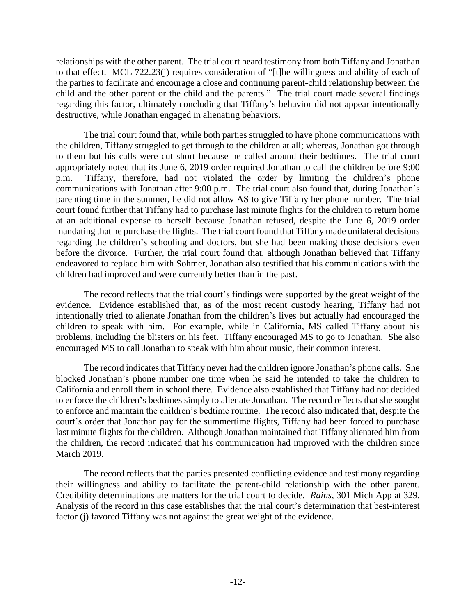relationships with the other parent. The trial court heard testimony from both Tiffany and Jonathan to that effect. MCL 722.23(j) requires consideration of "[t]he willingness and ability of each of the parties to facilitate and encourage a close and continuing parent-child relationship between the child and the other parent or the child and the parents." The trial court made several findings regarding this factor, ultimately concluding that Tiffany's behavior did not appear intentionally destructive, while Jonathan engaged in alienating behaviors.

The trial court found that, while both parties struggled to have phone communications with the children, Tiffany struggled to get through to the children at all; whereas, Jonathan got through to them but his calls were cut short because he called around their bedtimes. The trial court appropriately noted that its June 6, 2019 order required Jonathan to call the children before 9:00 p.m. Tiffany, therefore, had not violated the order by limiting the children's phone communications with Jonathan after 9:00 p.m. The trial court also found that, during Jonathan's parenting time in the summer, he did not allow AS to give Tiffany her phone number. The trial court found further that Tiffany had to purchase last minute flights for the children to return home at an additional expense to herself because Jonathan refused, despite the June 6, 2019 order mandating that he purchase the flights. The trial court found that Tiffany made unilateral decisions regarding the children's schooling and doctors, but she had been making those decisions even before the divorce. Further, the trial court found that, although Jonathan believed that Tiffany endeavored to replace him with Sohmer, Jonathan also testified that his communications with the children had improved and were currently better than in the past.

The record reflects that the trial court's findings were supported by the great weight of the evidence. Evidence established that, as of the most recent custody hearing, Tiffany had not intentionally tried to alienate Jonathan from the children's lives but actually had encouraged the children to speak with him. For example, while in California, MS called Tiffany about his problems, including the blisters on his feet. Tiffany encouraged MS to go to Jonathan. She also encouraged MS to call Jonathan to speak with him about music, their common interest.

The record indicates that Tiffany never had the children ignore Jonathan's phone calls. She blocked Jonathan's phone number one time when he said he intended to take the children to California and enroll them in school there. Evidence also established that Tiffany had not decided to enforce the children's bedtimes simply to alienate Jonathan. The record reflects that she sought to enforce and maintain the children's bedtime routine. The record also indicated that, despite the court's order that Jonathan pay for the summertime flights, Tiffany had been forced to purchase last minute flights for the children. Although Jonathan maintained that Tiffany alienated him from the children, the record indicated that his communication had improved with the children since March 2019.

The record reflects that the parties presented conflicting evidence and testimony regarding their willingness and ability to facilitate the parent-child relationship with the other parent. Credibility determinations are matters for the trial court to decide. *Rains*, 301 Mich App at 329. Analysis of the record in this case establishes that the trial court's determination that best-interest factor (j) favored Tiffany was not against the great weight of the evidence.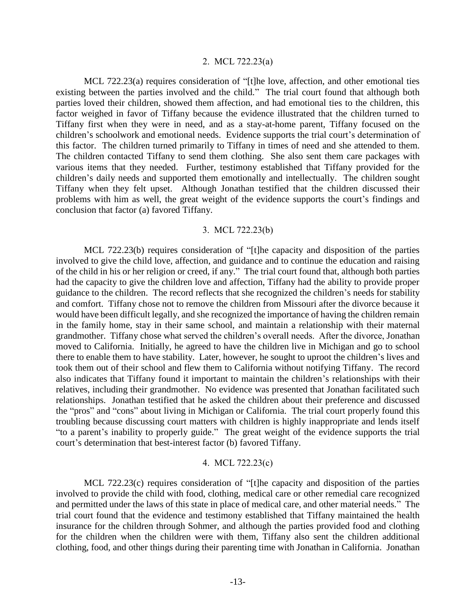### 2. MCL 722.23(a)

MCL 722.23(a) requires consideration of "[t]he love, affection, and other emotional ties existing between the parties involved and the child." The trial court found that although both parties loved their children, showed them affection, and had emotional ties to the children, this factor weighed in favor of Tiffany because the evidence illustrated that the children turned to Tiffany first when they were in need, and as a stay-at-home parent, Tiffany focused on the children's schoolwork and emotional needs. Evidence supports the trial court's determination of this factor. The children turned primarily to Tiffany in times of need and she attended to them. The children contacted Tiffany to send them clothing. She also sent them care packages with various items that they needed. Further, testimony established that Tiffany provided for the children's daily needs and supported them emotionally and intellectually. The children sought Tiffany when they felt upset. Although Jonathan testified that the children discussed their problems with him as well, the great weight of the evidence supports the court's findings and conclusion that factor (a) favored Tiffany.

## 3. MCL 722.23(b)

MCL 722.23(b) requires consideration of "[t]he capacity and disposition of the parties involved to give the child love, affection, and guidance and to continue the education and raising of the child in his or her religion or creed, if any." The trial court found that, although both parties had the capacity to give the children love and affection, Tiffany had the ability to provide proper guidance to the children. The record reflects that she recognized the children's needs for stability and comfort. Tiffany chose not to remove the children from Missouri after the divorce because it would have been difficult legally, and she recognized the importance of having the children remain in the family home, stay in their same school, and maintain a relationship with their maternal grandmother. Tiffany chose what served the children's overall needs. After the divorce, Jonathan moved to California. Initially, he agreed to have the children live in Michigan and go to school there to enable them to have stability. Later, however, he sought to uproot the children's lives and took them out of their school and flew them to California without notifying Tiffany. The record also indicates that Tiffany found it important to maintain the children's relationships with their relatives, including their grandmother. No evidence was presented that Jonathan facilitated such relationships. Jonathan testified that he asked the children about their preference and discussed the "pros" and "cons" about living in Michigan or California. The trial court properly found this troubling because discussing court matters with children is highly inappropriate and lends itself "to a parent's inability to properly guide." The great weight of the evidence supports the trial court's determination that best-interest factor (b) favored Tiffany.

## 4. MCL 722.23(c)

MCL 722.23(c) requires consideration of "[t]he capacity and disposition of the parties involved to provide the child with food, clothing, medical care or other remedial care recognized and permitted under the laws of this state in place of medical care, and other material needs." The trial court found that the evidence and testimony established that Tiffany maintained the health insurance for the children through Sohmer, and although the parties provided food and clothing for the children when the children were with them, Tiffany also sent the children additional clothing, food, and other things during their parenting time with Jonathan in California. Jonathan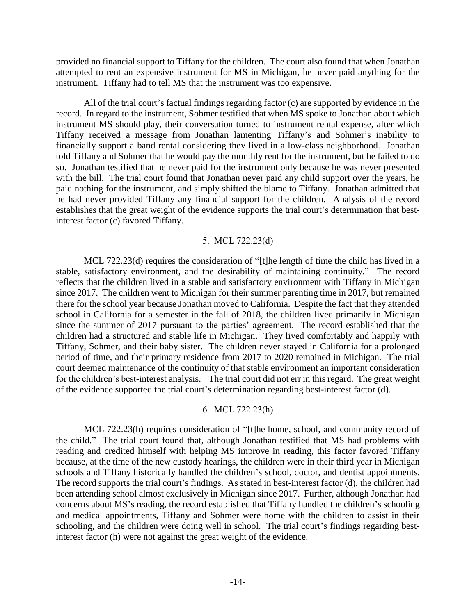provided no financial support to Tiffany for the children. The court also found that when Jonathan attempted to rent an expensive instrument for MS in Michigan, he never paid anything for the instrument. Tiffany had to tell MS that the instrument was too expensive.

All of the trial court's factual findings regarding factor (c) are supported by evidence in the record. In regard to the instrument, Sohmer testified that when MS spoke to Jonathan about which instrument MS should play, their conversation turned to instrument rental expense, after which Tiffany received a message from Jonathan lamenting Tiffany's and Sohmer's inability to financially support a band rental considering they lived in a low-class neighborhood. Jonathan told Tiffany and Sohmer that he would pay the monthly rent for the instrument, but he failed to do so. Jonathan testified that he never paid for the instrument only because he was never presented with the bill. The trial court found that Jonathan never paid any child support over the years, he paid nothing for the instrument, and simply shifted the blame to Tiffany. Jonathan admitted that he had never provided Tiffany any financial support for the children. Analysis of the record establishes that the great weight of the evidence supports the trial court's determination that bestinterest factor (c) favored Tiffany.

## 5. MCL 722.23(d)

MCL 722.23(d) requires the consideration of "[t]he length of time the child has lived in a stable, satisfactory environment, and the desirability of maintaining continuity." The record reflects that the children lived in a stable and satisfactory environment with Tiffany in Michigan since 2017. The children went to Michigan for their summer parenting time in 2017, but remained there for the school year because Jonathan moved to California. Despite the fact that they attended school in California for a semester in the fall of 2018, the children lived primarily in Michigan since the summer of 2017 pursuant to the parties' agreement. The record established that the children had a structured and stable life in Michigan. They lived comfortably and happily with Tiffany, Sohmer, and their baby sister. The children never stayed in California for a prolonged period of time, and their primary residence from 2017 to 2020 remained in Michigan. The trial court deemed maintenance of the continuity of that stable environment an important consideration for the children's best-interest analysis. The trial court did not err in this regard. The great weight of the evidence supported the trial court's determination regarding best-interest factor (d).

# 6. MCL 722.23(h)

MCL 722.23(h) requires consideration of "[t]he home, school, and community record of the child." The trial court found that, although Jonathan testified that MS had problems with reading and credited himself with helping MS improve in reading, this factor favored Tiffany because, at the time of the new custody hearings, the children were in their third year in Michigan schools and Tiffany historically handled the children's school, doctor, and dentist appointments. The record supports the trial court's findings. As stated in best-interest factor (d), the children had been attending school almost exclusively in Michigan since 2017. Further, although Jonathan had concerns about MS's reading, the record established that Tiffany handled the children's schooling and medical appointments, Tiffany and Sohmer were home with the children to assist in their schooling, and the children were doing well in school. The trial court's findings regarding bestinterest factor (h) were not against the great weight of the evidence.